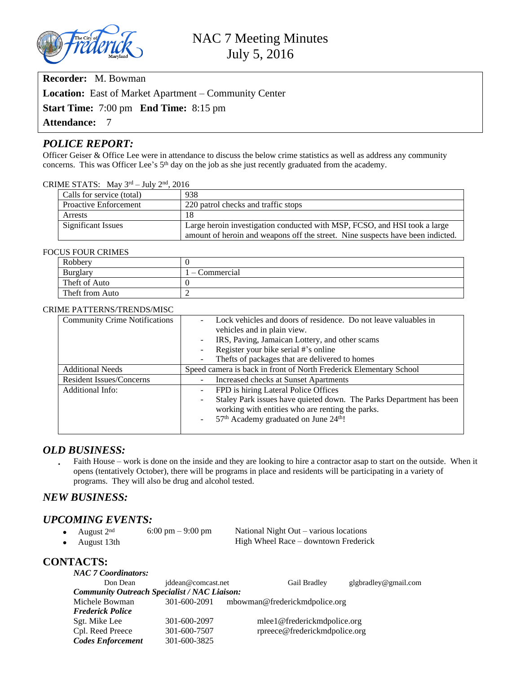

**Recorder:** M. Bowman

**Location:** East of Market Apartment – Community Center

**Start Time:** 7:00 pm **End Time:** 8:15 pm

**Attendance:** 7

# *POLICE REPORT:*

Officer Geiser & Office Lee were in attendance to discuss the below crime statistics as well as address any community concerns. This was Officer Lee's 5<sup>th</sup> day on the job as she just recently graduated from the academy.

#### CRIME STATS: May  $3<sup>rd</sup> - July 2<sup>nd</sup>$ , 2016

| Calls for service (total)    | 938                                                                                                                                                         |
|------------------------------|-------------------------------------------------------------------------------------------------------------------------------------------------------------|
| <b>Proactive Enforcement</b> | 220 patrol checks and traffic stops                                                                                                                         |
| <b>Arrests</b>               | 18                                                                                                                                                          |
| <b>Significant Issues</b>    | Large heroin investigation conducted with MSP, FCSO, and HSI took a large<br>amount of heroin and weapons off the street. Nine suspects have been indicted. |

#### FOCUS FOUR CRIMES

| Robbery         |                |
|-----------------|----------------|
| Burglary        | l – Commercial |
| Theft of Auto   |                |
| Theft from Auto |                |

#### CRIME PATTERNS/TRENDS/MISC

| <b>Community Crime Notifications</b> | Lock vehicles and doors of residence. Do not leave valuables in                                                                                                                                                                |  |  |
|--------------------------------------|--------------------------------------------------------------------------------------------------------------------------------------------------------------------------------------------------------------------------------|--|--|
|                                      | vehicles and in plain view.                                                                                                                                                                                                    |  |  |
|                                      | IRS, Paving, Jamaican Lottery, and other scams<br>$\sim$                                                                                                                                                                       |  |  |
|                                      | Register your bike serial #'s online                                                                                                                                                                                           |  |  |
|                                      | Thefts of packages that are delivered to homes                                                                                                                                                                                 |  |  |
| <b>Additional Needs</b>              | Speed camera is back in front of North Frederick Elementary School                                                                                                                                                             |  |  |
| Resident Issues/Concerns             | Increased checks at Sunset Apartments                                                                                                                                                                                          |  |  |
| <b>Additional Info:</b>              | FPD is hiring Lateral Police Offices<br>$\sim$                                                                                                                                                                                 |  |  |
|                                      | Staley Park issues have quieted down. The Parks Department has been<br>$\overline{\phantom{a}}$<br>working with entities who are renting the parks.<br>57 <sup>th</sup> Academy graduated on June 24 <sup>th</sup> !<br>$\sim$ |  |  |

## *OLD BUSINESS:*

 Faith House – work is done on the inside and they are looking to hire a contractor asap to start on the outside. When it opens (tentatively October), there will be programs in place and residents will be participating in a variety of programs. They will also be drug and alcohol tested.

## *NEW BUSINESS:*

# *UPCOMING EVENTS:*<br>• August  $2<sup>nd</sup>$  6:00 pm – 9:00 pm

• August  $2^{nd}$  6:00 pm – 9:00 pm – National Night Out – various locations<br>• August 13th – High Wheel Race – downtown Frederic High Wheel Race – downtown Frederick

## **CONTACTS:**

| <b>NAC 7 Coordinators:</b>                          |                    |                               |                      |  |
|-----------------------------------------------------|--------------------|-------------------------------|----------------------|--|
| Don Dean                                            | jddean@comcast.net | Gail Bradley                  | glgbradley@gmail.com |  |
| <b>Community Outreach Specialist / NAC Liaison:</b> |                    |                               |                      |  |
| Michele Bowman                                      | 301-600-2091       | mbowman@frederickmdpolice.org |                      |  |
| <b>Frederick Police</b>                             |                    |                               |                      |  |
| Sgt. Mike Lee                                       | 301-600-2097       | mlee1@frederickmdpolice.org   |                      |  |
| Cpl. Reed Preece                                    | 301-600-7507       | rpreece@frederickmdpolice.org |                      |  |
| <b>Codes Enforcement</b>                            | 301-600-3825       |                               |                      |  |